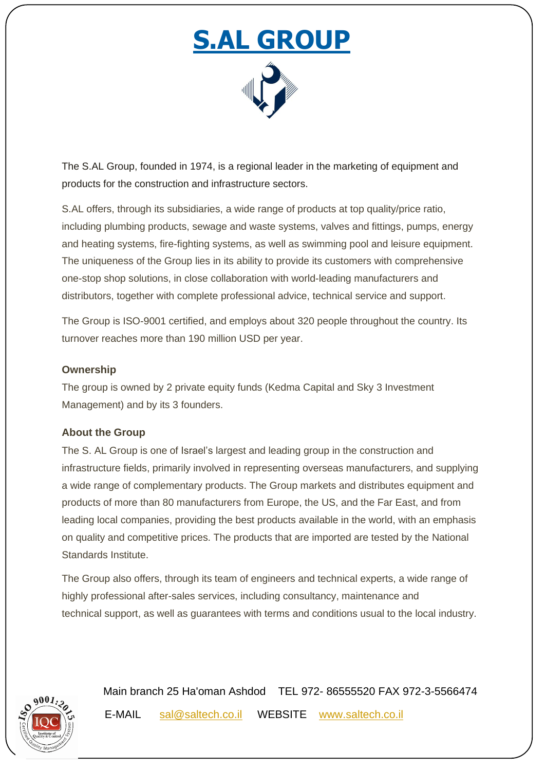# **S.AL GROUP**



The S.AL Group, founded in 1974, is a regional leader in the marketing of equipment and products for the construction and infrastructure sectors.

S.AL offers, through its subsidiaries, a wide range of products at top quality/price ratio, including plumbing products, sewage and waste systems, valves and fittings, pumps, energy and heating systems, fire-fighting systems, as well as swimming pool and leisure equipment. The uniqueness of the Group lies in its ability to provide its customers with comprehensive one-stop shop solutions, in close collaboration with world-leading manufacturers and distributors, together with complete professional advice, technical service and support.

The Group is ISO-9001 certified, and employs about 320 people throughout the country. Its turnover reaches more than 190 million USD per year.

#### **Ownership**

The group is owned by 2 private equity funds (Kedma Capital and Sky 3 Investment Management) and by its 3 founders.

### **About the Group**

The S. AL Group is one of Israel's largest and leading group in the construction and infrastructure fields, primarily involved in representing overseas manufacturers, and supplying a wide range of complementary products. The Group markets and distributes equipment and products of more than 80 manufacturers from Europe, the US, and the Far East, and from leading local companies, providing the best products available in the world, with an emphasis on quality and competitive prices. The products that are imported are tested by the National Standards Institute.

The Group also offers, through its team of engineers and technical experts, a wide range of highly professional after-sales services, including consultancy, maintenance and technical support, as well as guarantees with terms and conditions usual to the local industry.



 Main branch 25 Ha'oman Ashdod TEL 972- 86555520 FAX 972-3-5566474 E-MAIL [sal@saltech.co.il](mailto:sal@saltech.co.il) WEBSITE [www.saltech.co.il](http://www.saltech.co.il/)